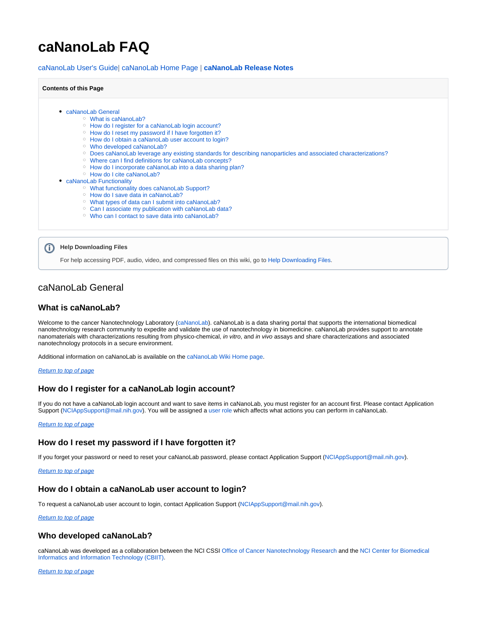# <span id="page-0-7"></span>**caNanoLab FAQ**

[caNanoLab User's Guide](https://wiki.nci.nih.gov/display/caNanoLab/caNanoLab+User%27s+Guide)| [caNanoLab Home Page |](https://wiki.nci.nih.gov/display/caNanoLab/caNanoLab+Wiki+Home+Page) **[caNanoLab Release Notes](https://wiki.nci.nih.gov/display/caNanoLab/caNanoLab+Release+Notes)**

#### **Contents of this Page**

- [caNanoLab General](#page-0-0)
	- [What is caNanoLab?](#page-0-1)
	- <sup>o</sup> [How do I register for a caNanoLab login account?](#page-0-2)
	- <sup>o</sup> [How do I reset my password if I have forgotten it?](#page-0-3)
	- <sup>o</sup> [How do I obtain a caNanoLab user account to login?](#page-0-4)
	- [Who developed caNanoLab?](#page-0-5)
	- [Does caNanoLab leverage any existing standards for describing nanoparticles and associated characterizations?](#page-0-6)
	- [Where can I find definitions for caNanoLab concepts?](#page-1-0)
	- o [How do I incorporate caNanoLab into a data sharing plan?](#page-1-1)
	- <sup>o</sup> [How do I cite caNanoLab?](#page-1-2)
- [caNanoLab Functionality](#page-1-3)
	- [What functionality does caNanoLab Support?](#page-1-4)
	- <sup>o</sup> [How do I save data in caNanoLab?](#page-1-5)
	- [What types of data can I submit into caNanoLab?](#page-2-0)
	- <sup>o</sup> [Can I associate my publication with caNanoLab data?](#page-2-1)
	- [Who can I contact to save data into caNanoLab?](#page-2-2)



For help accessing PDF, audio, video, and compressed files on this wiki, go to [Help Downloading Files.](https://wiki.nci.nih.gov/display/WikiTrainFAQsTips/Help+Downloading+Files)

# <span id="page-0-0"></span>caNanoLab General

# <span id="page-0-1"></span>**What is caNanoLab?**

Welcome to the cancer Nanotechnology Laboratory ([caNanoLab\)](https://cananolab.nci.nih.gov/caNanoLab/#/). caNanoLab is a data sharing portal that supports the international biomedical nanotechnology research community to expedite and validate the use of nanotechnology in biomedicine. caNanoLab provides support to annotate nanomaterials with characterizations resulting from physico-chemical, in vitro, and in vivo assays and share characterizations and associated nanotechnology protocols in a secure environment.

Additional information on caNanoLab is available on the [caNanoLab Wiki Home page.](https://wiki.nci.nih.gov/x/F4V-AQ)

#### [Return to top of page](#page-0-7)

## <span id="page-0-2"></span>**How do I register for a caNanoLab login account?**

If you do not have a caNanoLab login account and want to save items in caNanoLab, you must register for an account first. Please contact Application Support ([NCIAppSupport@mail.nih.gov](mailto:NCICBIITAppsSupport@mail.nih.gov)). You will be assigned a [user role](https://wiki.nci.nih.gov/display/caNanoLab/User+Roles+caNanoLab+Include) which affects what actions you can perform in caNanoLab.

#### [Return to top of page](#page-0-7)

## <span id="page-0-3"></span>**How do I reset my password if I have forgotten it?**

If you forget your password or need to reset your caNanoLab password, please contact Application Support ([NCIAppSupport@mail.nih.gov\)](mailto:NCICBIITAppsSupport@mail.nih.gov).

#### [Return to top of page](#page-0-7)

# <span id="page-0-4"></span>**How do I obtain a caNanoLab user account to login?**

To request a caNanoLab user account to login, contact Application Support ([NCIAppSupport@mail.nih.gov](mailto:NCICBIITAppsSupport@mail.nih.gov)).

#### [Return to top of page](#page-0-7)

## <span id="page-0-5"></span>**Who developed caNanoLab?**

caNanoLab was developed as a collaboration between the NCI CSSI [Office of Cancer Nanotechnology Research](https://cssi.cancer.gov/cssi-offices/office-cancer-nanotechnology-research-ocnr) and the [NCI Center for Biomedical](http://cbiit.nci.nih.gov/)  [Informatics and Information Technology \(CBIIT\).](http://cbiit.nci.nih.gov/)

#### <span id="page-0-6"></span>[Return to top of page](#page-0-7)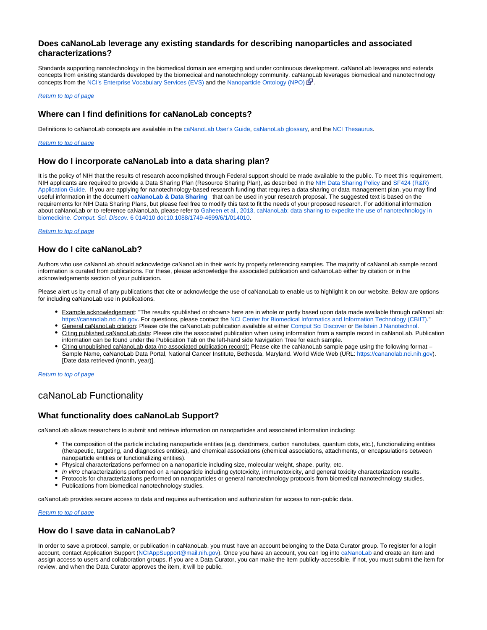# **Does caNanoLab leverage any existing standards for describing nanoparticles and associated characterizations?**

Standards supporting nanotechnology in the biomedical domain are emerging and under continuous development. caNanoLab leverages and extends concepts from existing standards developed by the biomedical and nanotechnology community. caNanoLab leverages biomedical and nanotechnology concepts from the [NCI's Enterprise Vocabulary Services \(EVS\)](https://evs.nci.nih.gov) and the [Nanoparticle Ontology \(NPO\)](http://bioportal.bioontology.org/visualize/29531)  $\mathbb{R}$ .

#### [Return to top of page](#page-0-7)

# <span id="page-1-0"></span>**Where can I find definitions for caNanoLab concepts?**

Definitions to caNanoLab concepts are available in the [caNanoLab User's Guide,](https://wiki.nci.nih.gov/x/14CUBg) [caNanoLab glossary](https://wiki.nci.nih.gov/x/9ICUBg), and the [NCI Thesaurus.](http://ncit.nci.nih.gov/)

#### [Return to top of page](#page-0-7)

# <span id="page-1-1"></span>**How do I incorporate caNanoLab into a data sharing plan?**

It is the policy of NIH that the results of research accomplished through Federal support should be made available to the public. To meet this requirement, NIH applicants are required to provide a Data Sharing Plan (Resource Sharing Plan), as described in the [NIH Data Sharing Policy](http://grants.nih.gov/grants/policy/data_sharing/) and [SF424 \(R&R\)](http://grants.nih.gov/grants/funding/424/index.htm)  [Application Guide.](http://grants.nih.gov/grants/funding/424/index.htm) If you are applying for nanotechnology-based research funding that requires a data sharing or data management plan, you may find useful information in the document **[caNanoLab & Data Sharing](https://wiki.nci.nih.gov/display/caNanoLab/caNanoLab+and+Data+Sharing)** that can be used in your research proposal. The suggested text is based on the requirements for NIH Data Sharing Plans, but please feel free to modify this text to fit the needs of your proposed research. For additional information about caNanoLab or to reference caNanoLab, please refer to Gaheen et al., 2013, caNanoLab: data sharing to expedite the use of nanotechnology in biomedicine. Comput. Sci. Discov. [6 014010 doi:10.1088/1749-4699/6/1/014010](http://iopscience.iop.org/1749-4699/6/1/014010/article?fromSearchPage=true).

#### [Return to top of page](#page-0-7)

# <span id="page-1-2"></span>**How do I cite caNanoLab?**

Authors who use caNanoLab should acknowledge caNanoLab in their work by properly referencing samples. The majority of caNanoLab sample record information is curated from publications. For these, please acknowledge the associated publication and caNanoLab either by citation or in the acknowledgements section of your publication.

Please alert us by email of any publications that cite or acknowledge the use of caNanoLab to enable us to highlight it on our website. Below are options for including caNanoLab use in publications.

- Example acknowledgement: "The results <published or shown> here are in whole or partly based upon data made available through caNanoLab: <https://cananolab.nci.nih.gov>. For questions, please contact the [NCI Center for Biomedical Informatics and Information Technology \(CBIIT\).](http://cbiit.nci.nih.gov/)"
- General caNanoLab citation: Please cite the caNanoLab publication available at either [Comput Sci Discover](http://www.ncbi.nlm.nih.gov/pubmed/25364375) o[r Beilstein J Nanotechnol.](http://www.ncbi.nlm.nih.gov/pubmed/26425409) · Citing published caNanoLab data: Please cite the associated publication when using information from a sample record in caNanoLab. Publication information can be found under the Publication Tab on the left-hand side Navigation Tree for each sample.
- Citing unpublished caNanoLab data (no associated publication record): Please cite the caNanoLab sample page using the following format Sample Name, caNanoLab Data Portal, National Cancer Institute, Bethesda, Maryland. World Wide Web (URL: <https://cananolab.nci.nih.gov>). [Date data retrieved (month, year)].

#### [Return to top of page](#page-0-7)

# <span id="page-1-3"></span>caNanoLab Functionality

# <span id="page-1-4"></span>**What functionality does caNanoLab Support?**

caNanoLab allows researchers to submit and retrieve information on nanoparticles and associated information including:

- The composition of the particle including nanoparticle entities (e.g. dendrimers, carbon nanotubes, quantum dots, etc.), functionalizing entities (therapeutic, targeting, and diagnostics entities), and chemical associations (chemical associations, attachments, or encapsulations between nanoparticle entities or functionalizing entities).
- Physical characterizations performed on a nanoparticle including size, molecular weight, shape, purity, etc.
- In vitro characterizations performed on a nanoparticle including cytotoxicity, immunotoxicity, and general toxicity characterization results.
- Protocols for characterizations performed on nanoparticles or general nanotechnology protocols from biomedical nanotechnology studies.
- Publications from biomedical nanotechnology studies.

caNanoLab provides secure access to data and requires authentication and authorization for access to non-public data.

#### **[Return to top of page](#page-0-7)**

# <span id="page-1-5"></span>**How do I save data in caNanoLab?**

In order to save a protocol, sample, or publication in caNanoLab, you must have an account belonging to the Data Curator group. To register for a login account, contact Application Support [\(NCIAppSupport@mail.nih.gov](mailto:NCICBIITAppsSupport@mail.nih.gov)). Once you have an account, you can log into [caNanoLab](https://cananolab.nci.nih.gov) and create an item and assign access to users and collaboration groups. If you are a Data Curator, you can make the item publicly-accessible. If not, you must submit the item for review, and when the Data Curator approves the item, it will be public.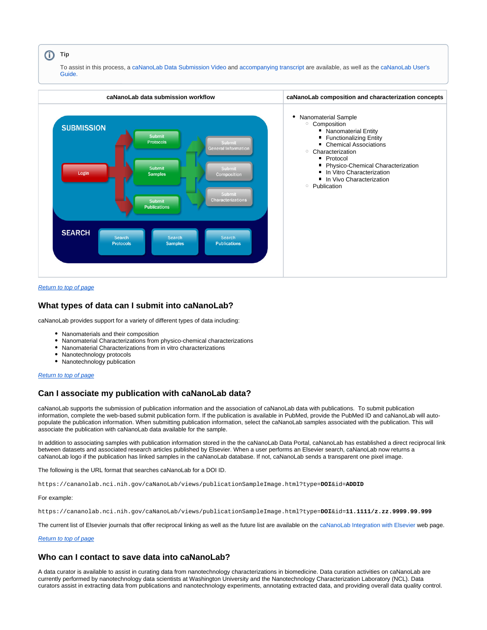#### **Tip**

To assist in this process, a [caNanoLab Data Submission Video](https://cbiit-download.nci.nih.gov/icr/cananolab/2.0/Gaheen_cananolab_demo.mp4) and [accompanying transcript](https://wiki.nci.nih.gov/download/attachments/25134359/Gaheen_cananolab_demo_transcript_edited_508Compliant.doc?version=1&modificationDate=1452704683000&api=v2) are available, as well as the [caNanoLab User's](https://wiki.nci.nih.gov/x/14CUBg)  [Guide.](https://wiki.nci.nih.gov/x/14CUBg)



## [Return to top of page](#page-0-7)

## <span id="page-2-0"></span>**What types of data can I submit into caNanoLab?**

caNanoLab provides support for a variety of different types of data including:

- Nanomaterials and their composition
- Nanomaterial Characterizations from physico-chemical characterizations
- Nanomaterial Characterizations from in vitro characterizations
- Nanotechnology protocols
- Nanotechnology publication

#### [Return to top of page](#page-0-7)

# <span id="page-2-1"></span>**Can I associate my publication with caNanoLab data?**

caNanoLab supports the submission of publication information and the association of caNanoLab data with publications. To submit publication information, complete the web-based submit publication form. If the publication is available in PubMed, provide the PubMed ID and caNanoLab will autopopulate the publication information. When submitting publication information, select the caNanoLab samples associated with the publication. This will associate the publication with caNanoLab data available for the sample.

In addition to associating samples with publication information stored in the the caNanoLab Data Portal, caNanoLab has established a direct reciprocal link between datasets and associated research articles published by Elsevier. When a user performs an Elsevier search, caNanoLab now returns a caNanoLab logo if the publication has linked samples in the caNanoLab database. If not, caNanoLab sends a transparent one pixel image.

The following is the URL format that searches caNanoLab for a DOI ID.

<https://cananolab.nci.nih.gov/caNanoLab/views/publicationSampleImage.html?type=>**DOI**&id=**ADDID**

#### For example:

<https://cananolab.nci.nih.gov/caNanoLab/views/publicationSampleImage.html?type=>**DOI**&id=**11.1111/z.zz.9999.99.999**

The current list of Elsevier journals that offer reciprocal linking as well as the future list are available on the [caNanoLab Integration with Elsevier](https://wiki.nci.nih.gov/display/caNanoLab/caNanoLab+Integration+with+Elsevier) web page.

#### [Return to top of page](#page-0-7)

# <span id="page-2-2"></span>**Who can I contact to save data into caNanoLab?**

A data curator is available to assist in curating data from nanotechnology characterizations in biomedicine. Data curation activities on caNanoLab are currently performed by nanotechnology data scientists at Washington University and the Nanotechnology Characterization Laboratory (NCL). Data curators assist in extracting data from publications and nanotechnology experiments, annotating extracted data, and providing overall data quality control.